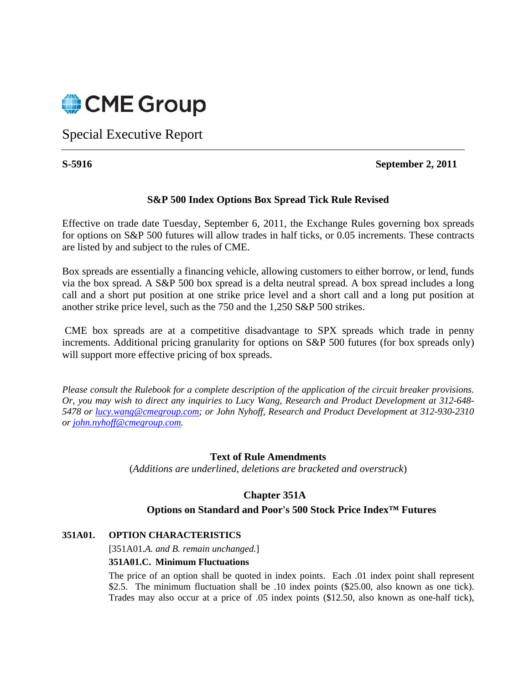

Special Executive Report

### **S-5916 September 2, 2011**

## **S&P 500 Index Options Box Spread Tick Rule Revised**

Effective on trade date Tuesday, September 6, 2011, the Exchange Rules governing box spreads for options on S&P 500 futures will allow trades in half ticks, or 0.05 increments. These contracts are listed by and subject to the rules of CME.

Box spreads are essentially a financing vehicle, allowing customers to either borrow, or lend, funds via the box spread. A S&P 500 box spread is a delta neutral spread. A box spread includes a long call and a short put position at one strike price level and a short call and a long put position at another strike price level, such as the 750 and the 1,250 S&P 500 strikes.

 CME box spreads are at a competitive disadvantage to SPX spreads which trade in penny increments. Additional pricing granularity for options on S&P 500 futures (for box spreads only) will support more effective pricing of box spreads.

*Please consult the Rulebook for a complete description of the application of the circuit breaker provisions. Or, you may wish to direct any inquiries to Lucy Wang, Research and Product Development at 312-648- 5478 or lucy.wang@cmegroup.com; or John Nyhoff, Research and Product Development at 312-930-2310 or john.nyhoff@cmegroup.com.*

#### **Text of Rule Amendments**

(*Additions are underlined, deletions are bracketed and overstruck*)

# **Chapter 351A**

# **Options on Standard and Poor's 500 Stock Price Index™ Futures**

#### **351A01. OPTION CHARACTERISTICS**

[351A01.*A. and B. remain unchanged.*]

#### **351A01.C. Minimum Fluctuations**

The price of an option shall be quoted in index points. Each .01 index point shall represent \$2.5. The minimum fluctuation shall be .10 index points (\$25.00, also known as one tick). Trades may also occur at a price of .05 index points (\$12.50, also known as one-half tick),